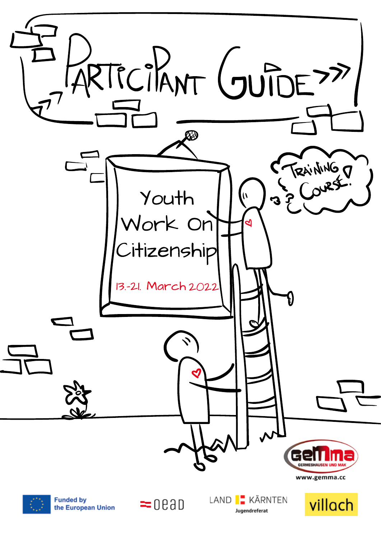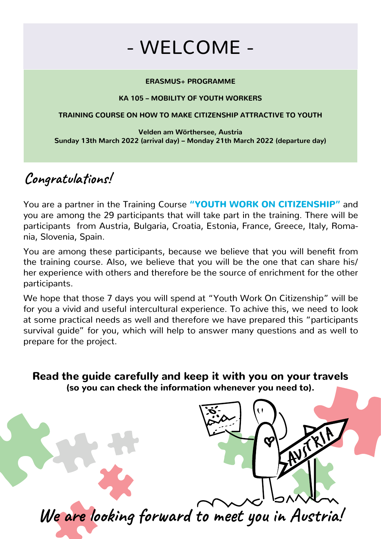## - WELCOME -

#### **ERASMUS+ PROGRAMME**

#### **KA 105 – MOBILITY OF YOUTH WORKERS**

#### **TRAINING COURSE ON HOW TO MAKE CITIZENSHIP ATTRACTIVE TO YOUTH**

**Velden am Wörthersee, Austria Sunday 13th March 2022 (arrival day) – Monday 21th March 2022 (departure day)**

### **Congratulations!**

You are a partner in the Training Course "YOUTH WORK ON CITIZENSHIP" and you are among the 29 participants that will take part in the training. There will be participants from Austria, Bulgaria, Croatia, Estonia, France, Greece, Italy, Romania, Slovenia, Spain.

You are among these participants, because we believe that you will benefit from the training course. Also, we believe that you will be the one that can share his/ her experience with others and therefore be the source of enrichment for the other participants.

We hope that those 7 days you will spend at "Youth Work On Citizenship" will be for you a vivid and useful intercultural experience. To achive this, we need to look at some practical needs as well and therefore we have prepared this "participants survival guide" for you, which will help to answer many questions and as well to prepare for the project.

Read the guide carefully and keep it with you on your travels (so you can check the information whenever you need to).

**We are looking forward to meet you in Austria!**

AVITAL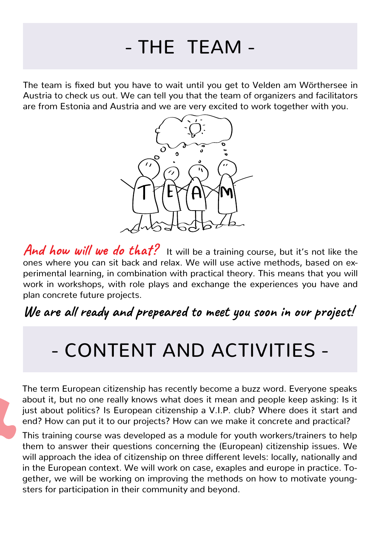# - THE TEAM -

The team is fixed but you have to wait until you get to Velden am Wörthersee in Austria to check us out. We can tell you that the team of organizers and facilitators are from Estonia and Austria and we are very excited to work together with you.



And how will we do that? It will be a training course, but it's not like the ones where you can sit back and relax. We will use active methods, based on experimental learning, in combination with practical theory. This means that you will work in workshops, with role plays and exchange the experiences you have and plan concrete future projects.

**We are all ready and prepeared to meet you soon in our project!**

## - CONTENT AND ACTIVITIES -

The term European citizenship has recently become a buzz word. Everyone speaks about it, but no one really knows what does it mean and people keep asking: Is it just about politics? Is European citizenship a V.I.P. club? Where does it start and end? How can put it to our projects? How can we make it concrete and practical?

This training course was developed as a module for youth workers/trainers to help them to answer their questions concerning the (European) citizenship issues. We will approach the idea of citizenship on three different levels: locally, nationally and in the European context. We will work on case, exaples and europe in practice. Together, we will be working on improving the methods on how to motivate youngsters for participation in their community and beyond.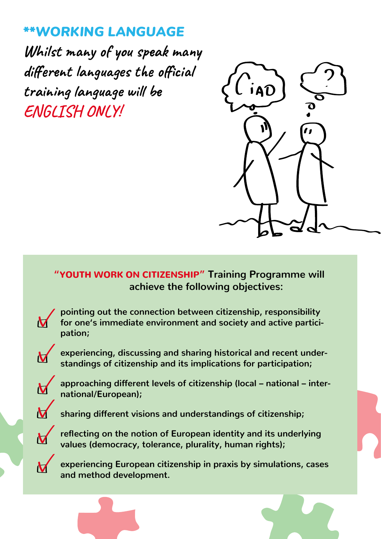### *\*\*WORKING LANGUAGE*

**Whilst many of you speak many different languages the official training language will be ENGLISH ONLY!**

 $\boldsymbol{\mathsf{M}}$ 

 $\overline{\mathbf{V}}$ 

 $\overline{\mathbf{V}}$ 

 $\overline{\mathsf{M}}$ 

 $\overline{\mathsf{M}}$ 



 **"**YOUTH WORK ON CITIZENSHIP**" Training Programme will achieve the following objectives:**

**pointing out the connection between citizenship, responsibility for one's immediate environment and society and active participation;**

**experiencing, discussing and sharing historical and recent understandings of citizenship and its implications for participation;**

**approaching different levels of citizenship (local – national – international/European);**

**sharing different visions and understandings of citizenship;**

**reflecting on the notion of European identity and its underlying values (democracy, tolerance, plurality, human rights);**

**experiencing European citizenship in praxis by simulations, cases and method development.**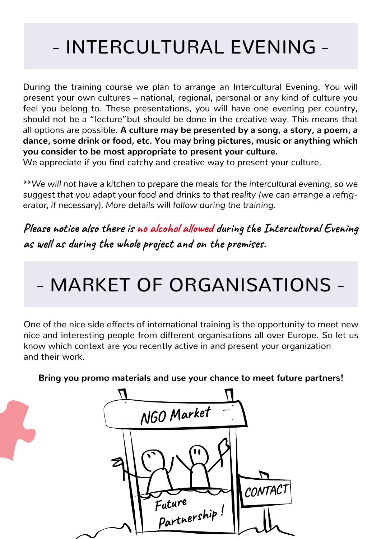# - INTERCULTURAL EVENING -

During the training course we plan to arrange an Intercultural Evening. You will present your own cultures – national, regional, personal or any kind of culture you feel you belong to. These presentations, you will have one evening per country, should not be a "lecture"but should be done in the creative way. This means that all options are possible. **A culture may be presented by a song, a story, a poem, a dance, some drink or food, etc. You may bring pictures, music or anything which you consider to be most appropriate to present your culture.**

We appreciate if you find catchy and creative way to present your culture.

*\*\*We will not have a kitchen to prepare the meals for the intercultural evening, so we suggest that you adapt your food and drinks to that reality (we can arrange a refrigerator, if necessary). More details will follow during the training.* 

**Please notice also there is no alcohol allowed during the Intercultural Evening as well as during the whole project and on the premises.**

## - MARKET OF ORGANISATIONS -

One of the nice side effects of international training is the opportunity to meet new nice and interesting people from different organisations all over Europe. So let us know which context are you recently active in and present your organization and their work.

**Bring you promo materials and use your chance to meet future partners!**

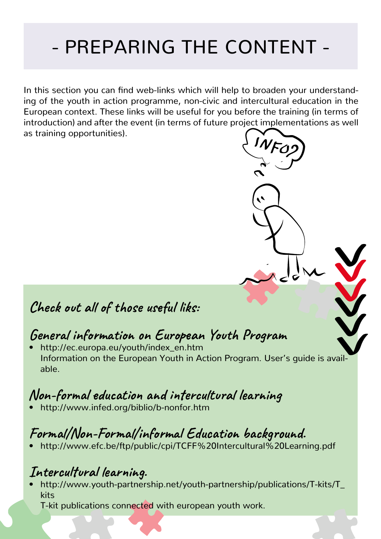# - PREPARING THE CONTENT -

In this section you can find web-links which will help to broaden your understanding of the youth in action programme, non-civic and intercultural education in the European context. These links will be useful for you before the training (in terms of introduction) and after the event (in terms of future project implementations as well as training opportunities).

### **Check out all of those useful liks:**

### **General information on European Youth Program**

• http://ec.europa.eu/youth/index\_en.htm Information on the European Youth in Action Program. User's guide is available.

### **Non-formal education and intercultural learning**

• http://www.infed.org/biblio/b-nonfor.htm

### **Formal/Non-Formal/informal Education background.**

• http://www.efc.be/ftp/public/cpi/TCFF%20Intercultural%20Learning.pdf

### **Intercultural learning.**

• http://www.youth-partnership.net/youth-partnership/publications/T-kits/T\_ kits

T-kit publications connected with european youth work.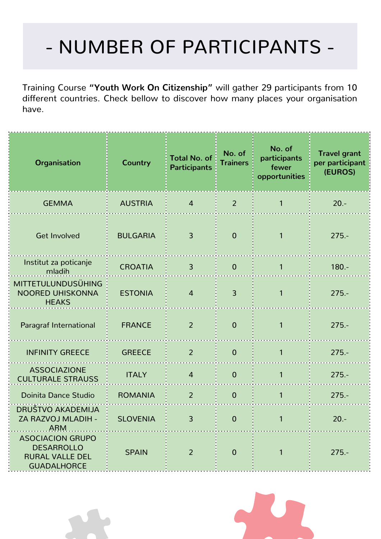# - NUMBER OF PARTICIPANTS -

Training Course **"Youth Work On Citizenship"** will gather 29 participants from 10 different countries. Check bellow to discover how many places your organisation have.

| <b>Organisation</b>                                                                          | <b>Country</b>  | <b>Total No. of</b><br><b>Participants</b> | No. of<br><b>Trainers</b> | No. of<br>participants<br>fewer<br>opportunities | <b>Travel grant</b><br>per participant<br>(EUROS) |
|----------------------------------------------------------------------------------------------|-----------------|--------------------------------------------|---------------------------|--------------------------------------------------|---------------------------------------------------|
| <b>GEMMA</b>                                                                                 | <b>AUSTRIA</b>  | $\overline{4}$                             | $\overline{2}$            | 1                                                | $20. -$                                           |
| <b>Get Involved</b>                                                                          | <b>BULGARIA</b> | $\overline{3}$                             | $\Omega$                  | 1                                                | $275. -$                                          |
| Institut za poticanje<br>mladih                                                              | <b>CROATIA</b>  | $\overline{3}$                             | $\overline{0}$            | $\mathbf{1}$                                     | $180. -$                                          |
| <b>MITTETULUNDUSÜHING</b><br>NOORED UHISKONNA<br><b>HEAKS</b>                                | <b>ESTONIA</b>  | $\overline{4}$                             | $\overline{3}$            | 1                                                | $275. -$                                          |
| Paragraf International                                                                       | <b>FRANCE</b>   | 2                                          | $\overline{0}$            | 1                                                | $275. -$                                          |
| <b>INFINITY GREECE</b>                                                                       | <b>GREECE</b>   | 2                                          | $\mathbf 0$               | 1                                                | $275. -$                                          |
| <b>ASSOCIAZIONE</b><br><b>CULTURALE STRAUSS</b>                                              | <b>ITALY</b>    | $\overline{4}$                             | $\mathbf 0$               | 1                                                | $275. -$                                          |
| <b>Doinita Dance Studio</b>                                                                  | <b>ROMANIA</b>  | $\overline{2}$                             | $\mathbf 0$               | 1                                                | $275. -$                                          |
| DRUŠTVO AKADEMIJA<br>ZA RAZVOJ MLADIH -<br>. ARM.                                            | <b>SLOVENIA</b> | 3                                          | $\Omega$                  | $\mathbf{1}$                                     | $20 -$                                            |
| <b>ASOCIACION GRUPO</b><br><b>DESARROLLO</b><br><b>RURAL VALLE DEL</b><br><b>GUADALHORCE</b> | <b>SPAIN</b>    | $\overline{2}$                             | $\overline{0}$            | 1                                                | $275. -$                                          |

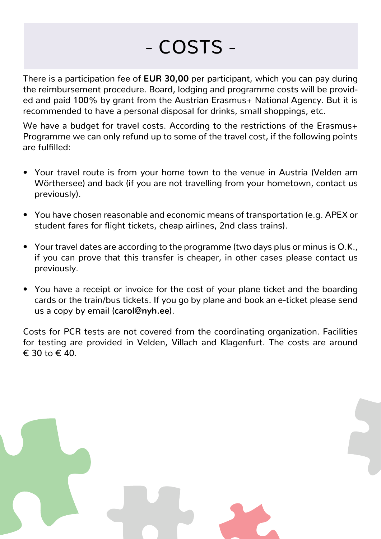# - COSTS -

There is a participation fee of **EUR 30,00** per participant, which you can pay during the reimbursement procedure. Board, lodging and programme costs will be provided and paid 100% by grant from the Austrian Erasmus+ National Agency. But it is recommended to have a personal disposal for drinks, small shoppings, etc.

We have a budget for travel costs. According to the restrictions of the Erasmus+ Programme we can only refund up to some of the travel cost, if the following points are fulfilled:

- Your travel route is from your home town to the venue in Austria (Velden am Wörthersee) and back (if you are not travelling from your hometown, contact us previously).
- You have chosen reasonable and economic means of transportation (e.g. APEX or student fares for flight tickets, cheap airlines, 2nd class trains).
- Your travel dates are according to the programme (two days plus or minus is O.K., if you can prove that this transfer is cheaper, in other cases please contact us previously.
- You have a receipt or invoice for the cost of your plane ticket and the boarding cards or the train/bus tickets. If you go by plane and book an e-ticket please send us a copy by email (**carol@nyh.ee**).

Costs for PCR tests are not covered from the coordinating organization. Facilities for testing are provided in Velden, Villach and Klagenfurt. The costs are around € 30 to € 40.

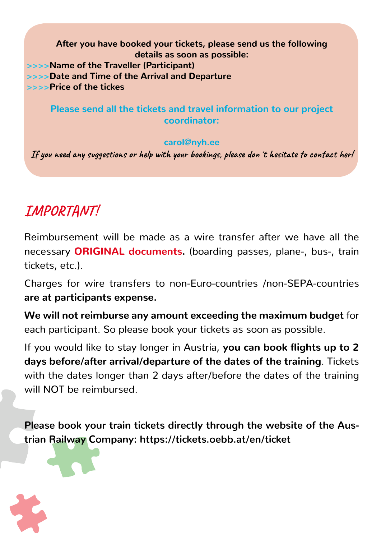**After you have booked your tickets, please send us the following details as soon as possible: >>>>Name of the Traveller (Participant) >>>>Date and Time of the Arrival and Departure >>>>Price of the tickes**

### **Please send all the tickets and travel information to our project coordinator:**

### **carol@nyh.ee**

**If you need any suggestions or help with your bookings, please don´t hesitate to contact her!**

## **IMPORTANT!**

Reimbursement will be made as a wire transfer after we have all the necessary **ORIGINAL documents.** (boarding passes, plane-, bus-, train tickets, etc.).

Charges for wire transfers to non-Euro-countries /non-SEPA-countries **are at participants expense.**

**We will not reimburse any amount exceeding the maximum budget** for each participant. So please book your tickets as soon as possible.

If you would like to stay longer in Austria, **you can book flights up to 2 days before/after arrival/departure of the dates of the training**. Tickets with the dates longer than 2 days after/before the dates of the training will NOT be reimbursed.

**Please book your train tickets directly through the website of the Austrian Railway Company: https://tickets.oebb.at/en/ticket**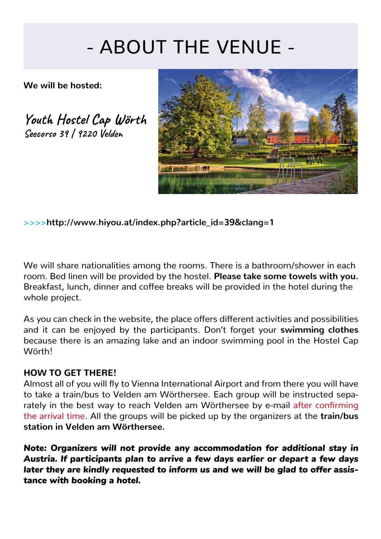# - ABOUT THE VENUE -

**We will be hosted:**

**Youth Hostel Cap Wörth Seecorso 39 | 9220 Velden**



**>>>>http://www.hiyou.at/index.php?article\_id=39&clang=1**

We will share nationalities among the rooms. There is a bathroom/shower in each room. Bed linen will be provided by the hostel. **Please take some towels with you.** Breakfast, lunch, dinner and coffee breaks will be provided in the hotel during the whole project.

As you can check in the website, the place offers different activities and possibilities and it can be enjoyed by the participants. Don't forget your **swimming clothes** because there is an amazing lake and an indoor swimming pool in the Hostel Cap Wörth!

### **HOW TO GET THERE!**

Almost all of you will fly to Vienna International Airport and from there you will have to take a train/bus to Velden am Wörthersee. Each group will be instructed separately in the best way to reach Velden am Wörthersee by e-mail after confirming the arrival time. All the groups will be picked up by the organizers at the **train/bus station in Velden am Wörthersee.**

*Note: Organizers will not provide any accommodation for additional stay in Austria. If participants plan to arrive a few days earlier or depart a few days later they are kindly requested to inform us and we will be glad to offer assistance with booking a hotel.*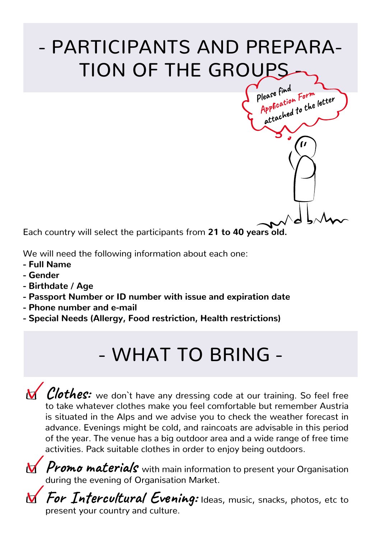# - PARTICIPANTS AND PREPARA-TION OF THE GROUPS

Please find please find<br>Application Form<br>Application to the lease time<br>Application Form<br>attached to the letter

Each country will select the participants from **21 to 40 years old.**

We will need the following information about each one:

- **Full Name**
- **Gender**
- **Birthdate / Age**
- **Passport Number or ID number with issue and expiration date**
- **Phone number and e-mail**
- **Special Needs (Allergy, Food restriction, Health restrictions)**

## - WHAT TO BRING -

**N** Clothes: we don't have any dressing code at our training. So feel free to take whatever clothes make you feel comfortable but remember Austria is situated in the Alps and we advise you to check the weather forecast in advance. Evenings might be cold, and raincoats are advisable in this period of the year. The venue has a big outdoor area and a wide range of free time activities. Pack suitable clothes in order to enjoy being outdoors.

**M** Promo materials with main information to present your Organisation during the evening of Organisation Market.

**For Intercultural Evening:** Ideas, music, snacks, photos, etc to present your country and culture.